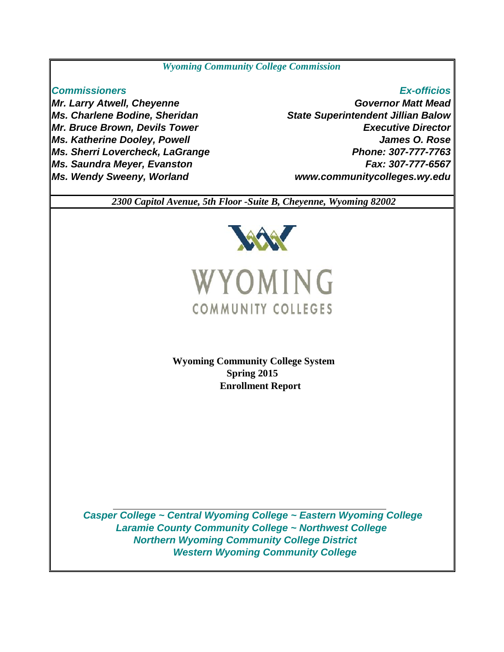# *Wyoming Community College Commission*

# *Commissioners Ex-officios*

*Mr. Larry Atwell, Cheyenne Ms. Charlene Bodine, Sheridan Mr. Bruce Brown, Devils Tower Ms. Katherine Dooley, Powell Ms. Sherri Lovercheck, LaGrange Ms. Saundra Meyer, Evanston Ms. Wendy Sweeny, Worland*

# *www.communitycolleges.wy.edu James O. Rose Phone: 307-777-7763 State Superintendent Jillian Balow Executive Director Governor Matt Mead Fax: 307-777-6567*

 *2300 Capitol Avenue, 5th Floor -Suite B, Cheyenne, Wyoming 82002*



**Enrollment Report Wyoming Community College System Spring 2015**

 *Northern Wyoming Community College District Western Wyoming Community College Casper College ~ Central Wyoming College ~ Eastern Wyoming College Laramie County Community College ~ Northwest College*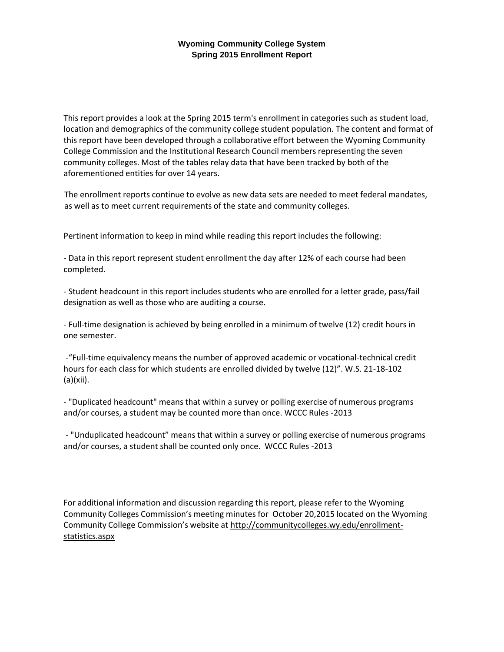This report provides a look at the Spring 2015 term's enrollment in categories such as student load, location and demographics of the community college student population. The content and format of this report have been developed through a collaborative effort between the Wyoming Community College Commission and the Institutional Research Council members representing the seven community colleges. Most of the tables relay data that have been tracked by both of the aforementioned entities for over 14 years.

The enrollment reports continue to evolve as new data sets are needed to meet federal mandates, as well as to meet current requirements of the state and community colleges.

Pertinent information to keep in mind while reading this report includes the following:

- Data in this report represent student enrollment the day after 12% of each course had been completed.

- Student headcount in this report includes students who are enrolled for a letter grade, pass/fail designation as well as those who are auditing a course.

- Full-time designation is achieved by being enrolled in a minimum of twelve (12) credit hours in one semester.

-"Full-time equivalency means the number of approved academic or vocational-technical credit hours for each class for which students are enrolled divided by twelve (12)". W.S. 21-18-102 (a)(xii).

- "Duplicated headcount" means that within a survey or polling exercise of numerous programs and/or courses, a student may be counted more than once. WCCC Rules -2013

- "Unduplicated headcount" means that within a survey or polling exercise of numerous programs and/or courses, a student shall be counted only once. WCCC Rules -2013

For additional information and discussion regarding this report, please refer to the Wyoming Community Colleges Commission's meeting minutes for October 20,2015 located on the Wyoming Community College Commission's website at http://communitycolleges.wy.edu/enrollmentstatistics.aspx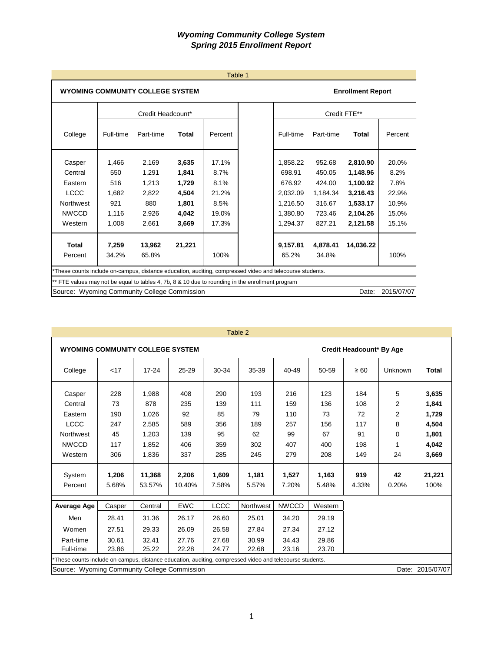|                                                                                                          |                |                   |              | Table 1 |                   |                   |                          |            |
|----------------------------------------------------------------------------------------------------------|----------------|-------------------|--------------|---------|-------------------|-------------------|--------------------------|------------|
| <b>WYOMING COMMUNITY COLLEGE SYSTEM</b>                                                                  |                |                   |              |         |                   |                   | <b>Enrollment Report</b> |            |
|                                                                                                          |                | Credit Headcount* |              |         |                   |                   | Credit FTE**             |            |
| College                                                                                                  | Full-time      | Part-time         | <b>Total</b> | Percent | Full-time         | Part-time         | Total                    | Percent    |
| Casper                                                                                                   | 1.466          | 2.169             | 3,635        | 17.1%   | 1.858.22          | 952.68            | 2,810.90                 | 20.0%      |
| Central                                                                                                  | 550            | 1.291             | 1.841        | 8.7%    | 698.91            | 450.05            | 1.148.96                 | 8.2%       |
| Eastern                                                                                                  | 516            | 1,213             | 1,729        | 8.1%    | 676.92            | 424.00            | 1.100.92                 | 7.8%       |
| LCCC                                                                                                     | 1,682          | 2,822             | 4,504        | 21.2%   | 2,032.09          | 1,184.34          | 3,216.43                 | 22.9%      |
| <b>Northwest</b>                                                                                         | 921            | 880               | 1,801        | 8.5%    | 1,216.50          | 316.67            | 1,533.17                 | 10.9%      |
| <b>NWCCD</b>                                                                                             | 1,116          | 2,926             | 4,042        | 19.0%   | 1,380.80          | 723.46            | 2,104.26                 | 15.0%      |
| Western                                                                                                  | 1.008          | 2.661             | 3,669        | 17.3%   | 1,294.37          | 827.21            | 2,121.58                 | 15.1%      |
| <b>Total</b><br>Percent                                                                                  | 7.259<br>34.2% | 13,962<br>65.8%   | 21,221       | 100%    | 9,157.81<br>65.2% | 4,878.41<br>34.8% | 14.036.22                | 100%       |
| *These counts include on-campus, distance education, auditing, compressed video and telecourse students. |                |                   |              |         |                   |                   |                          |            |
| ** FTE values may not be equal to tables 4, 7b, 8 & 10 due to rounding in the enrollment program         |                |                   |              |         |                   |                   |                          |            |
| Source: Wyoming Community College Commission                                                             |                |                   |              |         |                   |                   | Date:                    | 2015/07/07 |

| Table 2 |  |
|---------|--|
|---------|--|

| <b>WYOMING COMMUNITY COLLEGE SYSTEM</b>                                                                  |                                                             |                  |                 |                |                |                |                | <b>Credit Headcount* By Age</b> |             |                  |  |
|----------------------------------------------------------------------------------------------------------|-------------------------------------------------------------|------------------|-----------------|----------------|----------------|----------------|----------------|---------------------------------|-------------|------------------|--|
| College                                                                                                  | < 17                                                        | $17 - 24$        | 25-29           | 30-34          | 35-39          | 40-49          | 50-59          | $\geq 60$                       | Unknown     | <b>Total</b>     |  |
| Casper                                                                                                   | 228                                                         | 1,988            | 408             | 290            | 193            | 216            | 123            | 184                             | 5           | 3,635            |  |
| Central                                                                                                  | 73                                                          | 878              | 235             | 139            | 111            | 159            | 136            | 108                             | 2           | 1,841            |  |
| Eastern                                                                                                  | 190                                                         | 1,026            | 92              | 85             | 79             | 110            | 73             | 72                              | 2           | 1,729            |  |
| <b>LCCC</b>                                                                                              | 247                                                         | 2,585            | 589             | 356            | 189            | 257            | 156            | 117                             | 8           | 4,504            |  |
| <b>Northwest</b>                                                                                         | 45                                                          | 1,203            | 139             | 95             | 62             | 99             | 67             | 91                              | 0           | 1,801            |  |
| <b>NWCCD</b>                                                                                             | 117                                                         | 1,852            | 406             | 359            | 302            | 407            | 400            | 198                             |             | 4,042            |  |
| Western                                                                                                  | 306                                                         | 1,836            | 337             | 285            | 245            | 279            | 208            | 149                             | 24          | 3,669            |  |
| System<br>Percent                                                                                        | 1,206<br>5.68%                                              | 11,368<br>53.57% | 2,206<br>10.40% | 1,609<br>7.58% | 1,181<br>5.57% | 1,527<br>7.20% | 1,163<br>5.48% | 919<br>4.33%                    | 42<br>0.20% | 21,221<br>100%   |  |
| Average Age                                                                                              | Casper                                                      | Central          | <b>EWC</b>      | <b>LCCC</b>    | Northwest      | <b>NWCCD</b>   | Western        |                                 |             |                  |  |
| Men                                                                                                      | 28.41                                                       | 31.36            | 26.17           | 26.60          | 25.01          | 34.20          | 29.19          |                                 |             |                  |  |
| Women                                                                                                    | 27.51                                                       | 29.33            | 26.09           | 26.58          | 27.84          | 27.34          | 27.12          |                                 |             |                  |  |
| Part-time                                                                                                | 30.61<br>32.41<br>27.68<br>30.99<br>34.43<br>29.86<br>27.76 |                  |                 |                |                |                |                |                                 |             |                  |  |
| Full-time                                                                                                | 23.86                                                       | 25.22            | 22.28           | 24.77          | 22.68          | 23.16          | 23.70          |                                 |             |                  |  |
| *These counts include on-campus, distance education, auditing, compressed video and telecourse students. |                                                             |                  |                 |                |                |                |                |                                 |             |                  |  |
| Source: Wyoming Community College Commission                                                             |                                                             |                  |                 |                |                |                |                |                                 |             | Date: 2015/07/07 |  |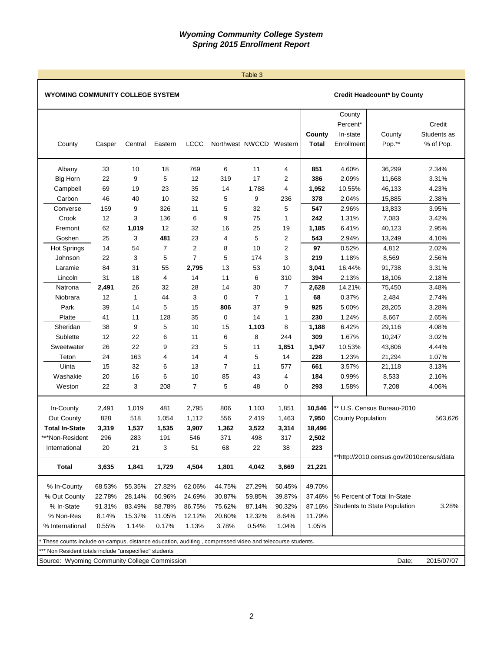### Table 3

## WYOMING COMMUNITY COLLEGE SYSTEM **COMMUNITY COLLEGE SYSTEM COMMUNITY COLLEGE SYSTEM**

| County                                                                                                  | Casper | Central      | Eastern        | <b>LCCC</b>    | Northwest NWCCD Western |                |                | County<br><b>Total</b> | County<br>Percent*<br>In-state<br>Enrollment | County<br>Pop.**                         | Credit<br>Students as<br>% of Pop. |
|---------------------------------------------------------------------------------------------------------|--------|--------------|----------------|----------------|-------------------------|----------------|----------------|------------------------|----------------------------------------------|------------------------------------------|------------------------------------|
| Albany                                                                                                  | 33     | 10           | 18             | 769            | 6                       | 11             | $\overline{4}$ | 851                    | 4.60%                                        | 36,299                                   | 2.34%                              |
| <b>Big Horn</b>                                                                                         | 22     | 9            | 5              | 12             | 319                     | 17             | $\overline{2}$ | 386                    | 2.09%                                        | 11,668                                   | 3.31%                              |
| Campbell                                                                                                | 69     | 19           | 23             | 35             | 14                      | 1,788          | 4              | 1,952                  | 10.55%                                       | 46,133                                   | 4.23%                              |
| Carbon                                                                                                  | 46     | 40           | 10             | 32             | 5                       | 9              | 236            | 378                    | 2.04%                                        | 15,885                                   | 2.38%                              |
| Converse                                                                                                | 159    | 9            | 326            | 11             | 5                       | 32             | 5              | 547                    | 2.96%                                        | 13,833                                   | 3.95%                              |
| Crook                                                                                                   | 12     | 3            | 136            | 6              | 9                       | 75             | 1              | 242                    | 1.31%                                        | 7,083                                    | 3.42%                              |
| Fremont                                                                                                 | 62     | 1,019        | 12             | 32             | 16                      | 25             | 19             | 1,185                  | 6.41%                                        | 40,123                                   | 2.95%                              |
| Goshen                                                                                                  | 25     | 3            | 481            | 23             | 4                       | 5              | $\overline{2}$ | 543                    | 2.94%                                        | 13,249                                   | 4.10%                              |
| <b>Hot Springs</b>                                                                                      | 14     | 54           | $\overline{7}$ | $\overline{2}$ | 8                       | 10             | $\overline{2}$ | 97                     | 0.52%                                        | 4,812                                    | 2.02%                              |
| Johnson                                                                                                 | 22     | 3            | 5              | $\overline{7}$ | 5                       | 174            | 3              | 219                    | 1.18%                                        | 8,569                                    | 2.56%                              |
| Laramie                                                                                                 | 84     | 31           | 55             | 2,795          | 13                      | 53             | 10             | 3,041                  | 16.44%                                       | 91,738                                   | 3.31%                              |
| Lincoln                                                                                                 | 31     | 18           | 4              | 14             | 11                      | 6              | 310            | 394                    | 2.13%                                        | 18,106                                   | 2.18%                              |
| Natrona                                                                                                 | 2,491  | 26           | 32             | 28             | 14                      | 30             | $\overline{7}$ | 2,628                  | 14.21%                                       | 75,450                                   | 3.48%                              |
| Niobrara                                                                                                | 12     | $\mathbf{1}$ | 44             | 3              | $\mathbf 0$             | $\overline{7}$ | 1              | 68                     | 0.37%                                        | 2,484                                    | 2.74%                              |
| Park                                                                                                    | 39     | 14           | 5              | 15             | 806                     | 37             | 9              | 925                    | 5.00%                                        | 28,205                                   | 3.28%                              |
| Platte                                                                                                  | 41     | 11           | 128            | 35             | $\mathbf 0$             | 14             | 1              | 230                    | 1.24%                                        | 8,667                                    | 2.65%                              |
| Sheridan                                                                                                | 38     | 9            | 5              | 10             | 15                      | 1,103          | 8              | 1,188                  | 6.42%                                        | 29,116                                   | 4.08%                              |
| Sublette                                                                                                | 12     | 22           | 6              | 11             | 6                       | 8              | 244            | 309                    | 1.67%                                        | 10,247                                   | 3.02%                              |
| Sweetwater                                                                                              | 26     | 22           | 9              | 23             | 5                       | 11             | 1,851          | 1,947                  | 10.53%                                       | 43,806                                   | 4.44%                              |
| Teton                                                                                                   | 24     | 163          | 4              | 14             | 4                       | 5              | 14             | 228                    | 1.23%                                        | 21,294                                   | 1.07%                              |
| Uinta                                                                                                   | 15     | 32           | 6              | 13             | $\overline{7}$          | 11             | 577            | 661                    | 3.57%                                        | 21,118                                   | 3.13%                              |
| Washakie                                                                                                | 20     | 16           | 6              | 10             | 85                      | 43             | $\overline{4}$ | 184                    | 0.99%                                        | 8,533                                    | 2.16%                              |
| Weston                                                                                                  | 22     | 3            | 208            | $\overline{7}$ | 5                       | 48             | 0              | 293                    | 1.58%                                        | 7,208                                    | 4.06%                              |
| In-County                                                                                               | 2,491  | 1,019        | 481            | 2,795          | 806                     | 1,103          | 1,851          | 10,546                 |                                              | ** U.S. Census Bureau-2010               |                                    |
| Out County                                                                                              | 828    | 518          | 1,054          | 1,112          | 556                     | 2,419          | 1,463          | 7,950                  | <b>County Population</b>                     |                                          | 563,626                            |
| <b>Total In-State</b>                                                                                   | 3,319  | 1,537        | 1,535          | 3,907          | 1,362                   | 3,522          | 3,314          | 18,496                 |                                              |                                          |                                    |
| ***Non-Resident                                                                                         | 296    | 283          | 191            | 546            | 371                     | 498            | 317            | 2,502                  |                                              |                                          |                                    |
| International                                                                                           | 20     | 21           | 3              | 51             | 68                      | 22             | 38             | 223                    |                                              |                                          |                                    |
| <b>Total</b>                                                                                            | 3,635  | 1,841        | 1,729          | 4,504          | 1,801                   | 4,042          | 3,669          | 21,221                 |                                              | **http://2010.census.gov/2010census/data |                                    |
| % In-County                                                                                             | 68.53% | 55.35%       | 27.82%         | 62.06%         | 44.75%                  | 27.29%         | 50.45%         | 49.70%                 |                                              |                                          |                                    |
| % Out County                                                                                            | 22.78% | 28.14%       | 60.96%         | 24.69%         | 30.87%                  | 59.85%         | 39.87%         | 37.46%                 |                                              | % Percent of Total In-State              |                                    |
| % In-State                                                                                              | 91.31% | 83.49%       | 88.78%         | 86.75%         | 75.62%                  | 87.14%         | 90.32%         | 87.16%                 |                                              | <b>Students to State Population</b>      | 3.28%                              |
| % Non-Res                                                                                               | 8.14%  | 15.37%       | 11.05%         | 12.12%         | 20.60%                  | 12.32%         | 8.64%          | 11.79%                 |                                              |                                          |                                    |
| % International                                                                                         | 0.55%  | 1.14%        | 0.17%          | 1.13%          | 3.78%                   | 0.54%          | 1.04%          | 1.05%                  |                                              |                                          |                                    |
| These counts include on-campus, distance education, auditing, compressed video and telecourse students. |        |              |                |                |                         |                |                |                        |                                              |                                          |                                    |
| Non Resident totals include "unspecified" students                                                      |        |              |                |                |                         |                |                |                        |                                              |                                          |                                    |
| Source: Wyoming Community College Commission                                                            |        |              |                |                |                         |                |                |                        |                                              | Date:                                    | 2015/07/07                         |
|                                                                                                         |        |              |                |                |                         |                |                |                        |                                              |                                          |                                    |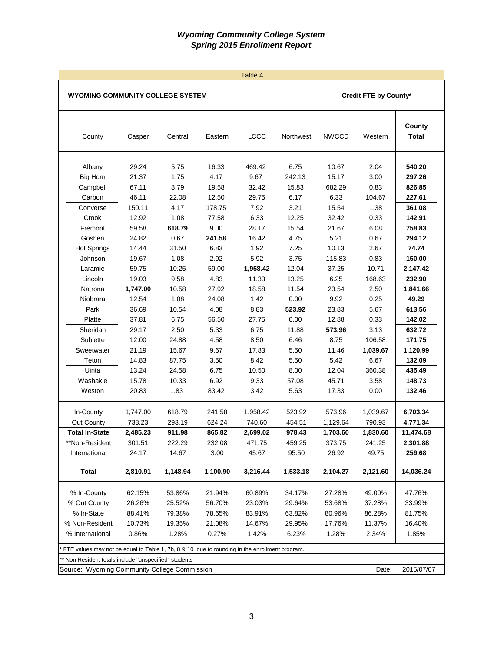|                                                                                                                                                                                 |                                                                                                             |                                                                                                     |                                                                                                  | Table 4                                                                                           |                                                                                                    |                                                                                                       |                                                                                                        |                                                                                                                         |
|---------------------------------------------------------------------------------------------------------------------------------------------------------------------------------|-------------------------------------------------------------------------------------------------------------|-----------------------------------------------------------------------------------------------------|--------------------------------------------------------------------------------------------------|---------------------------------------------------------------------------------------------------|----------------------------------------------------------------------------------------------------|-------------------------------------------------------------------------------------------------------|--------------------------------------------------------------------------------------------------------|-------------------------------------------------------------------------------------------------------------------------|
| <b>WYOMING COMMUNITY COLLEGE SYSTEM</b>                                                                                                                                         |                                                                                                             |                                                                                                     |                                                                                                  |                                                                                                   |                                                                                                    |                                                                                                       | Credit FTE by County*                                                                                  |                                                                                                                         |
| County                                                                                                                                                                          | Casper                                                                                                      | Central                                                                                             | Eastern                                                                                          | LCCC                                                                                              | Northwest                                                                                          | <b>NWCCD</b>                                                                                          | Western                                                                                                | County<br><b>Total</b>                                                                                                  |
| Albany<br><b>Big Horn</b><br>Campbell<br>Carbon<br>Converse<br>Crook<br>Fremont<br>Goshen<br><b>Hot Springs</b><br>Johnson<br>Laramie                                           | 29.24<br>21.37<br>67.11<br>46.11<br>150.11<br>12.92<br>59.58<br>24.82<br>14.44<br>19.67<br>59.75            | 5.75<br>1.75<br>8.79<br>22.08<br>4.17<br>1.08<br>618.79<br>0.67<br>31.50<br>1.08<br>10.25           | 16.33<br>4.17<br>19.58<br>12.50<br>178.75<br>77.58<br>9.00<br>241.58<br>6.83<br>2.92<br>59.00    | 469.42<br>9.67<br>32.42<br>29.75<br>7.92<br>6.33<br>28.17<br>16.42<br>1.92<br>5.92<br>1,958.42    | 6.75<br>242.13<br>15.83<br>6.17<br>3.21<br>12.25<br>15.54<br>4.75<br>7.25<br>3.75<br>12.04         | 10.67<br>15.17<br>682.29<br>6.33<br>15.54<br>32.42<br>21.67<br>5.21<br>10.13<br>115.83<br>37.25       | 2.04<br>3.00<br>0.83<br>104.67<br>1.38<br>0.33<br>6.08<br>0.67<br>2.67<br>0.83<br>10.71                | 540.20<br>297.26<br>826.85<br>227.61<br>361.08<br>142.91<br>758.83<br>294.12<br>74.74<br>150.00<br>2,147.42             |
| Lincoln<br>Natrona<br>Niobrara<br>Park<br>Platte<br>Sheridan<br>Sublette<br>Sweetwater<br>Teton<br>Uinta<br>Washakie<br>Weston                                                  | 19.03<br>1,747.00<br>12.54<br>36.69<br>37.81<br>29.17<br>12.00<br>21.19<br>14.83<br>13.24<br>15.78<br>20.83 | 9.58<br>10.58<br>1.08<br>10.54<br>6.75<br>2.50<br>24.88<br>15.67<br>87.75<br>24.58<br>10.33<br>1.83 | 4.83<br>27.92<br>24.08<br>4.08<br>56.50<br>5.33<br>4.58<br>9.67<br>3.50<br>6.75<br>6.92<br>83.42 | 11.33<br>18.58<br>1.42<br>8.83<br>27.75<br>6.75<br>8.50<br>17.83<br>8.42<br>10.50<br>9.33<br>3.42 | 13.25<br>11.54<br>0.00<br>523.92<br>0.00<br>11.88<br>6.46<br>5.50<br>5.50<br>8.00<br>57.08<br>5.63 | 6.25<br>23.54<br>9.92<br>23.83<br>12.88<br>573.96<br>8.75<br>11.46<br>5.42<br>12.04<br>45.71<br>17.33 | 168.63<br>2.50<br>0.25<br>5.67<br>0.33<br>3.13<br>106.58<br>1,039.67<br>6.67<br>360.38<br>3.58<br>0.00 | 232.90<br>1,841.66<br>49.29<br>613.56<br>142.02<br>632.72<br>171.75<br>1,120.99<br>132.09<br>435.49<br>148.73<br>132.46 |
| In-County<br>Out County<br><b>Total In-State</b><br>**Non-Resident<br>International<br><b>Total</b>                                                                             | 1,747.00<br>738.23<br>2,485.23<br>301.51<br>24.17<br>2,810.91                                               | 618.79<br>293.19<br>911.98<br>222.29<br>14.67<br>1,148.94                                           | 241.58<br>624.24<br>865.82<br>232.08<br>3.00<br>1,100.90                                         | 1,958.42<br>740.60<br>2,699.02<br>471.75<br>45.67<br>3,216.44                                     | 523.92<br>454.51<br>978.43<br>459.25<br>95.50<br>1,533.18                                          | 573.96<br>1,129.64<br>1,703.60<br>373.75<br>26.92<br>2,104.27                                         | 1,039.67<br>790.93<br>1,830.60<br>241.25<br>49.75<br>2,121.60                                          | 6,703.34<br>4,771.34<br>11,474.68<br>2,301.88<br>259.68<br>14,036.24                                                    |
| % In-County<br>% Out County<br>% In-State<br>% Non-Resident<br>% International<br>FTE values may not be equal to Table 1, 7b, 8 & 10 due to rounding in the enrollment program. | 62.15%<br>26.26%<br>88.41%<br>10.73%<br>0.86%                                                               | 53.86%<br>25.52%<br>79.38%<br>19.35%<br>1.28%                                                       | 21.94%<br>56.70%<br>78.65%<br>21.08%<br>0.27%                                                    | 60.89%<br>23.03%<br>83.91%<br>14.67%<br>1.42%                                                     | 34.17%<br>29.64%<br>63.82%<br>29.95%<br>6.23%                                                      | 27.28%<br>53.68%<br>80.96%<br>17.76%<br>1.28%                                                         | 49.00%<br>37.28%<br>86.28%<br>11.37%<br>2.34%                                                          | 47.76%<br>33.99%<br>81.75%<br>16.40%<br>1.85%                                                                           |
| ** Non Resident totals include "unspecified" students<br>Source: Wyoming Community College Commission                                                                           |                                                                                                             |                                                                                                     |                                                                                                  |                                                                                                   |                                                                                                    |                                                                                                       | Date:                                                                                                  | 2015/07/07                                                                                                              |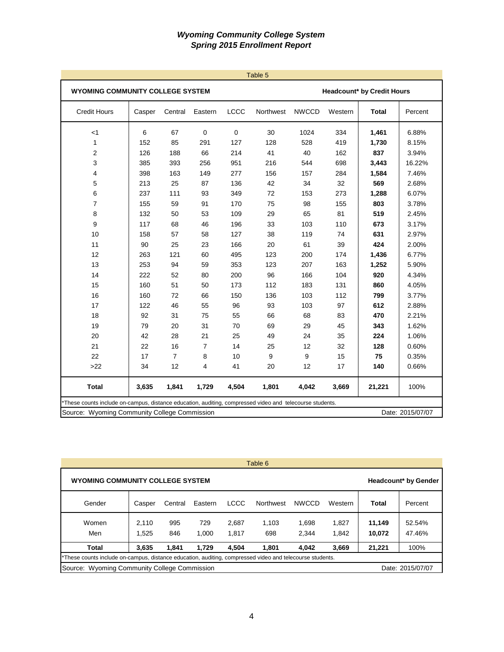|                                                                                                          |        |                |                |             | Table 5   |              |         |                                   |                  |
|----------------------------------------------------------------------------------------------------------|--------|----------------|----------------|-------------|-----------|--------------|---------|-----------------------------------|------------------|
| WYOMING COMMUNITY COLLEGE SYSTEM                                                                         |        |                |                |             |           |              |         | <b>Headcount* by Credit Hours</b> |                  |
| <b>Credit Hours</b>                                                                                      | Casper | Central        | Eastern        | <b>LCCC</b> | Northwest | <b>NWCCD</b> | Western | <b>Total</b>                      | Percent          |
| $<$ 1                                                                                                    | 6      | 67             | $\mathbf 0$    | 0           | 30        | 1024         | 334     | 1,461                             | 6.88%            |
| 1                                                                                                        | 152    | 85             | 291            | 127         | 128       | 528          | 419     | 1,730                             | 8.15%            |
| 2                                                                                                        | 126    | 188            | 66             | 214         | 41        | 40           | 162     | 837                               | 3.94%            |
| 3                                                                                                        | 385    | 393            | 256            | 951         | 216       | 544          | 698     | 3,443                             | 16.22%           |
| 4                                                                                                        | 398    | 163            | 149            | 277         | 156       | 157          | 284     | 1,584                             | 7.46%            |
| 5                                                                                                        | 213    | 25             | 87             | 136         | 42        | 34           | 32      | 569                               | 2.68%            |
| 6                                                                                                        | 237    | 111            | 93             | 349         | 72        | 153          | 273     | 1,288                             | 6.07%            |
| $\overline{7}$                                                                                           | 155    | 59             | 91             | 170         | 75        | 98           | 155     | 803                               | 3.78%            |
| 8                                                                                                        | 132    | 50             | 53             | 109         | 29        | 65           | 81      | 519                               | 2.45%            |
| 9                                                                                                        | 117    | 68             | 46             | 196         | 33        | 103          | 110     | 673                               | 3.17%            |
| 10                                                                                                       | 158    | 57             | 58             | 127         | 38        | 119          | 74      | 631                               | 2.97%            |
| 11                                                                                                       | 90     | 25             | 23             | 166         | 20        | 61           | 39      | 424                               | 2.00%            |
| 12                                                                                                       | 263    | 121            | 60             | 495         | 123       | 200          | 174     | 1,436                             | 6.77%            |
| 13                                                                                                       | 253    | 94             | 59             | 353         | 123       | 207          | 163     | 1,252                             | 5.90%            |
| 14                                                                                                       | 222    | 52             | 80             | 200         | 96        | 166          | 104     | 920                               | 4.34%            |
| 15                                                                                                       | 160    | 51             | 50             | 173         | 112       | 183          | 131     | 860                               | 4.05%            |
| 16                                                                                                       | 160    | 72             | 66             | 150         | 136       | 103          | 112     | 799                               | 3.77%            |
| 17                                                                                                       | 122    | 46             | 55             | 96          | 93        | 103          | 97      | 612                               | 2.88%            |
| 18                                                                                                       | 92     | 31             | 75             | 55          | 66        | 68           | 83      | 470                               | 2.21%            |
| 19                                                                                                       | 79     | 20             | 31             | 70          | 69        | 29           | 45      | 343                               | 1.62%            |
| 20                                                                                                       | 42     | 28             | 21             | 25          | 49        | 24           | 35      | 224                               | 1.06%            |
| 21                                                                                                       | 22     | 16             | $\overline{7}$ | 14          | 25        | 12           | 32      | 128                               | 0.60%            |
| 22                                                                                                       | 17     | $\overline{7}$ | 8              | 10          | 9         | 9            | 15      | 75                                | 0.35%            |
| >22                                                                                                      | 34     | 12             | 4              | 41          | 20        | 12           | 17      | 140                               | 0.66%            |
| <b>Total</b>                                                                                             | 3,635  | 1,841          | 1,729          | 4,504       | 1,801     | 4,042        | 3,669   | 21,221                            | 100%             |
| *These counts include on-campus, distance education, auditing, compressed video and telecourse students. |        |                |                |             |           |              |         |                                   |                  |
| Source: Wyoming Community College Commission                                                             |        |                |                |             |           |              |         |                                   | Date: 2015/07/07 |

|                                                                                                          |        |         |         |       | Table 6   |              |         |        |                             |
|----------------------------------------------------------------------------------------------------------|--------|---------|---------|-------|-----------|--------------|---------|--------|-----------------------------|
| <b>WYOMING COMMUNITY COLLEGE SYSTEM</b>                                                                  |        |         |         |       |           |              |         |        | <b>Headcount* by Gender</b> |
| Gender                                                                                                   | Casper | Central | Eastern | LCCC  | Northwest | <b>NWCCD</b> | Western | Total  | Percent                     |
| Women                                                                                                    | 2.110  | 995     | 729     | 2.687 | 1.103     | 1.698        | 1,827   | 11.149 | 52.54%                      |
| Men                                                                                                      | 1.525  | 846     | 1.000   | 1.817 | 698       | 2.344        | 1.842   | 10.072 | 47.46%                      |
| <b>Total</b>                                                                                             | 3.635  | 1.841   | 1.729   | 4.504 | 1.801     | 4.042        | 3,669   | 21.221 | 100%                        |
| *These counts include on-campus, distance education, auditing, compressed video and telecourse students. |        |         |         |       |           |              |         |        |                             |
| Source: Wyoming Community College Commission                                                             |        |         |         |       |           |              |         |        | Date: 2015/07/07            |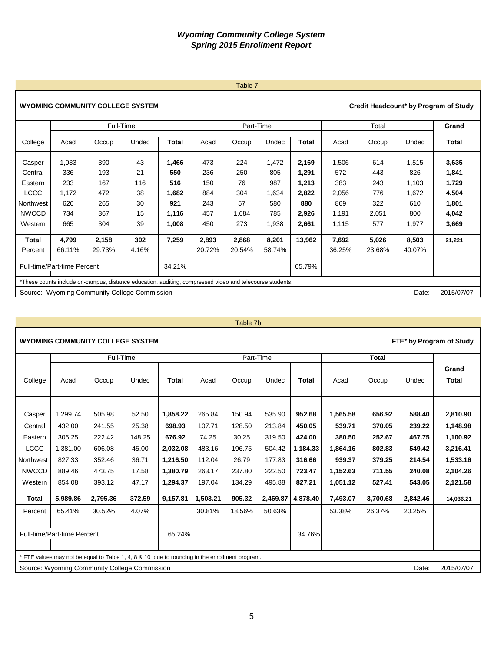# 5

# **WYOMING COMMUNITY COLLEGE SYSTEM**

|                   |                             | Full-Time                                                                                                |          |              |            | Part-Time  |              |                |              | Total      |              | Grand          |
|-------------------|-----------------------------|----------------------------------------------------------------------------------------------------------|----------|--------------|------------|------------|--------------|----------------|--------------|------------|--------------|----------------|
| College           | Acad                        | Occup                                                                                                    | Undec    | Total        | Acad       | Occup      | Undec        | Total          | Acad         | Occup      | Undec        | Total          |
| Casper<br>Central | 1,033<br>336                | 390<br>193                                                                                               | 43<br>21 | 1,466<br>550 | 473<br>236 | 224<br>250 | 1,472<br>805 | 2,169<br>1,291 | 1,506<br>572 | 614<br>443 | 1,515<br>826 | 3,635<br>1,841 |
| Eastern           | 233                         | 167                                                                                                      | 116      | 516          | 150        | 76         | 987          | 1,213          | 383          | 243        | 1,103        | 1,729          |
| <b>LCCC</b>       | 1,172                       | 472                                                                                                      | 38       | 1,682        | 884        | 304        | 1,634        | 2,822          | 2,056        | 776        | 1,672        | 4,504          |
| Northwest         | 626                         | 265                                                                                                      | 30       | 921          | 243        | 57         | 580          | 880            | 869          | 322        | 610          | 1,801          |
| <b>NWCCD</b>      | 734                         | 367                                                                                                      | 15       | 1,116        | 457        | 1,684      | 785          | 2,926          | 1,191        | 2,051      | 800          | 4,042          |
| Western           | 665                         | 304                                                                                                      | 39       | 1,008        | 450        | 273        | 1,938        | 2,661          | 1,115        | 577        | 1,977        | 3,669          |
| Total             | 4,799                       | 2,158                                                                                                    | 302      | 7,259        | 2,893      | 2,868      | 8,201        | 13,962         | 7,692        | 5,026      | 8,503        | 21,221         |
| Percent           | 66.11%                      | 29.73%                                                                                                   | 4.16%    |              | 20.72%     | 20.54%     | 58.74%       |                | 36.25%       | 23.68%     | 40.07%       |                |
|                   | Full-time/Part-time Percent |                                                                                                          |          | 34.21%       |            |            |              | 65.79%         |              |            |              |                |
|                   |                             | *These counts include on-campus, distance education, auditing, compressed video and telecourse students. |          |              |            |            |              |                |              |            |              |                |
|                   |                             | Source: Wyoming Community College Commission                                                             |          |              |            |            |              |                |              |            | Date:        | 2015/07/07     |

| Table 7b |  |
|----------|--|
|----------|--|

|                                                     |                                        | <b>WYOMING COMMUNITY COLLEGE SYSTEM</b>                                                        |                                  |                                              |                                      |                                     |                                      |                                        |                                            |                                      |                                      | FTE* by Program of Study                     |
|-----------------------------------------------------|----------------------------------------|------------------------------------------------------------------------------------------------|----------------------------------|----------------------------------------------|--------------------------------------|-------------------------------------|--------------------------------------|----------------------------------------|--------------------------------------------|--------------------------------------|--------------------------------------|----------------------------------------------|
|                                                     |                                        | Full-Time                                                                                      |                                  |                                              |                                      | Part-Time                           |                                      |                                        |                                            | <b>Total</b>                         |                                      |                                              |
| College                                             | Acad                                   | Occup                                                                                          | Undec                            | <b>Total</b>                                 | Acad                                 | Occup                               | Undec                                | <b>Total</b>                           | Acad                                       | Occup                                | Undec                                | Grand<br><b>Total</b>                        |
| Casper<br>Central<br>Eastern                        | 1,299.74<br>432.00<br>306.25           | 505.98<br>241.55<br>222.42                                                                     | 52.50<br>25.38<br>148.25         | 1,858.22<br>698.93<br>676.92                 | 265.84<br>107.71<br>74.25            | 150.94<br>128.50<br>30.25           | 535.90<br>213.84<br>319.50           | 952.68<br>450.05<br>424.00             | 1,565.58<br>539.71<br>380.50               | 656.92<br>370.05<br>252.67           | 588.40<br>239.22<br>467.75           | 2,810.90<br>1,148.98<br>1,100.92             |
| <b>LCCC</b><br>Northwest<br><b>NWCCD</b><br>Western | 1,381.00<br>827.33<br>889.46<br>854.08 | 606.08<br>352.46<br>473.75<br>393.12                                                           | 45.00<br>36.71<br>17.58<br>47.17 | 2,032.08<br>1,216.50<br>1,380.79<br>1,294.37 | 483.16<br>112.04<br>263.17<br>197.04 | 196.75<br>26.79<br>237.80<br>134.29 | 504.42<br>177.83<br>222.50<br>495.88 | 1,184.33<br>316.66<br>723.47<br>827.21 | 1,864.16<br>939.37<br>1,152.63<br>1,051.12 | 802.83<br>379.25<br>711.55<br>527.41 | 549.42<br>214.54<br>240.08<br>543.05 | 3,216.41<br>1,533.16<br>2,104.26<br>2,121.58 |
| Total                                               | 5.989.86                               | 2.795.36                                                                                       | 372.59                           | 9,157.81                                     | 1,503.21                             | 905.32                              | 2.469.87                             | 4.878.40                               | 7.493.07                                   | 3.700.68                             | 2.842.46                             | 14,036.21                                    |
| Percent                                             | 65.41%                                 | 30.52%                                                                                         | 4.07%                            |                                              | 30.81%                               | 18.56%                              | 50.63%                               |                                        | 53.38%                                     | 26.37%                               | 20.25%                               |                                              |
|                                                     | Full-time/Part-time Percent            |                                                                                                |                                  | 65.24%                                       |                                      |                                     |                                      | 34.76%                                 |                                            |                                      |                                      |                                              |
|                                                     |                                        | * FTE values may not be equal to Table 1, 4, 8 & 10 due to rounding in the enrollment program. |                                  |                                              |                                      |                                     |                                      |                                        |                                            |                                      |                                      |                                              |
|                                                     |                                        | Source: Wyoming Community College Commission                                                   |                                  |                                              |                                      |                                     |                                      |                                        |                                            |                                      | Date:                                | 2015/07/07                                   |

Table 7

**Credit Headcount\* by Program of Study**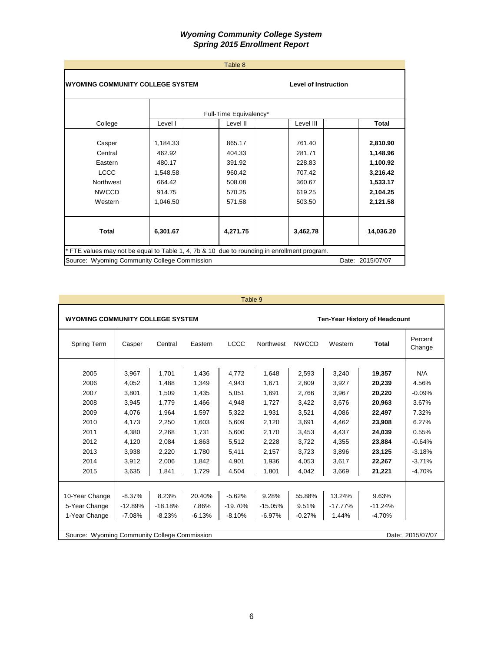|                                                                                             |                                                                          | Table 8                                                            |                                                                    |                                                                                  |
|---------------------------------------------------------------------------------------------|--------------------------------------------------------------------------|--------------------------------------------------------------------|--------------------------------------------------------------------|----------------------------------------------------------------------------------|
| <b>WYOMING COMMUNITY COLLEGE SYSTEM</b>                                                     |                                                                          |                                                                    | <b>Level of Instruction</b>                                        |                                                                                  |
|                                                                                             |                                                                          | Full-Time Equivalency*                                             |                                                                    |                                                                                  |
| College                                                                                     | Level I                                                                  | Level II                                                           | Level III                                                          | Total                                                                            |
| Casper<br>Central<br>Eastern<br><b>LCCC</b><br>Northwest<br><b>NWCCD</b><br>Western         | 1,184.33<br>462.92<br>480.17<br>1,548.58<br>664.42<br>914.75<br>1,046.50 | 865.17<br>404.33<br>391.92<br>960.42<br>508.08<br>570.25<br>571.58 | 761.40<br>281.71<br>228.83<br>707.42<br>360.67<br>619.25<br>503.50 | 2,810.90<br>1,148.96<br>1,100.92<br>3,216.42<br>1,533.17<br>2,104.25<br>2,121.58 |
| Total                                                                                       | 6,301.67                                                                 | 4,271.75                                                           | 3,462.78                                                           | 14,036.20                                                                        |
| * FTE values may not be equal to Table 1, 4, 7b & 10 due to rounding in enrollment program. |                                                                          |                                                                    |                                                                    |                                                                                  |
| Source: Wyoming Community College Commission                                                |                                                                          |                                                                    |                                                                    | Date: 2015/07/07                                                                 |

| Table 9 |  |
|---------|--|
|         |  |

T

| <b>WYOMING COMMUNITY COLLEGE SYSTEM</b> |                                                                  |           | <b>Ten-Year History of Headcount</b> |             |           |              |           |           |                   |  |  |
|-----------------------------------------|------------------------------------------------------------------|-----------|--------------------------------------|-------------|-----------|--------------|-----------|-----------|-------------------|--|--|
| <b>Spring Term</b>                      | Casper                                                           | Central   | Eastern                              | <b>LCCC</b> | Northwest | <b>NWCCD</b> | Western   | Total     | Percent<br>Change |  |  |
| 2005                                    | 3,967                                                            | 1.701     | 1,436                                | 4.772       | 1.648     | 2,593        | 3,240     | 19,357    | N/A               |  |  |
| 2006                                    | 4.052                                                            | 1.488     | 1.349                                | 4.943       | 1.671     | 2.809        | 3.927     | 20,239    | 4.56%             |  |  |
| 2007                                    | 3,801                                                            | 1,509     | 1,435                                | 5,051       | 1.691     | 2,766        | 3,967     | 20,220    | $-0.09%$          |  |  |
| 2008                                    | 3,945                                                            | 1,779     | 1,466                                | 4,948       | 1.727     | 3.422        | 3.676     | 20,963    | 3.67%             |  |  |
| 2009                                    | 4.076                                                            | 1.964     | 1.597                                | 5,322       | 1.931     | 3,521        | 4.086     | 22,497    | 7.32%             |  |  |
| 2010                                    | 4,173                                                            | 2,250     | 1,603                                | 5,609       | 2,120     | 3,691        | 4,462     | 23,908    | 6.27%             |  |  |
| 2011                                    | 4,380                                                            | 2,268     | 1,731                                | 5,600       | 2,170     | 3,453        | 4,437     | 24,039    | 0.55%             |  |  |
| 2012                                    | 4,120                                                            | 2,084     | 1.863                                | 5,512       | 2,228     | 3,722        | 4,355     | 23,884    | $-0.64%$          |  |  |
| 2013                                    | 3,938                                                            | 2,220     | 1,780                                | 5,411       | 2,157     | 3,723        | 3,896     | 23,125    | $-3.18%$          |  |  |
| 2014                                    | 3,912                                                            | 2,006     | 1,842                                | 4,901       | 1.936     | 4,053        | 3,617     | 22,267    | $-3.71%$          |  |  |
| 2015                                    | 3,635                                                            | 1.841     | 1,729                                | 4.504       | 1.801     | 4.042        | 3,669     | 21,221    | $-4.70%$          |  |  |
|                                         |                                                                  |           |                                      |             |           |              |           |           |                   |  |  |
| 10-Year Change                          | $-8.37%$                                                         | 8.23%     | 20.40%                               | $-5.62%$    | 9.28%     | 55.88%       | 13.24%    | 9.63%     |                   |  |  |
| 5-Year Change                           | $-12.89%$                                                        | $-18.18%$ | 7.86%                                | $-19.70%$   | $-15.05%$ | 9.51%        | $-17.77%$ | $-11.24%$ |                   |  |  |
| 1-Year Change                           | $-7.08%$                                                         | $-8.23%$  | $-6.13%$                             | $-8.10%$    | $-6.97%$  | $-0.27%$     | 1.44%     | $-4.70%$  |                   |  |  |
|                                         | Source: Wyoming Community College Commission<br>Date: 2015/07/07 |           |                                      |             |           |              |           |           |                   |  |  |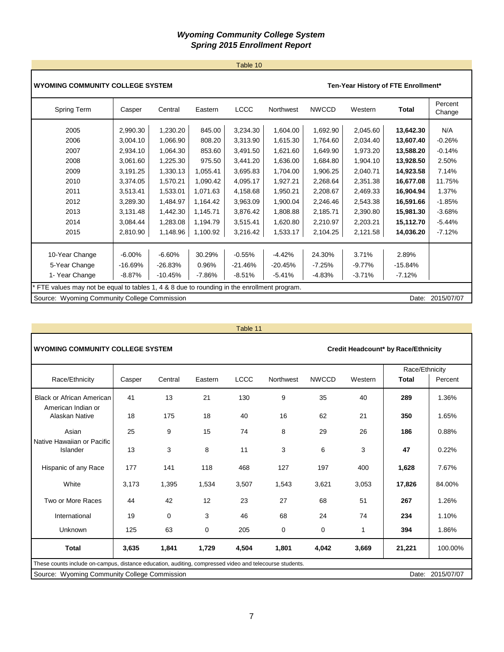# Table 10

| <b>WYOMING COMMUNITY COLLEGE SYSTEM</b>                                                     |           |           |          | Ten-Year History of FTE Enrollment* |           |              |          |           |                   |
|---------------------------------------------------------------------------------------------|-----------|-----------|----------|-------------------------------------|-----------|--------------|----------|-----------|-------------------|
| Spring Term                                                                                 | Casper    | Central   | Eastern  | <b>LCCC</b>                         | Northwest | <b>NWCCD</b> | Western  | Total     | Percent<br>Change |
| 2005                                                                                        | 2,990.30  | 1,230.20  | 845.00   | 3,234.30                            | 1,604.00  | 1,692.90     | 2,045.60 | 13,642.30 | N/A               |
| 2006                                                                                        | 3,004.10  | 1,066.90  | 808.20   | 3,313.90                            | 1,615.30  | 1,764.60     | 2,034.40 | 13,607.40 | $-0.26%$          |
| 2007                                                                                        | 2,934.10  | 1,064.30  | 853.60   | 3,491.50                            | 1,621.60  | 1,649.90     | 1,973.20 | 13,588.20 | $-0.14%$          |
| 2008                                                                                        | 3,061.60  | 1,225.30  | 975.50   | 3,441.20                            | 1,636.00  | 1,684.80     | 1,904.10 | 13,928.50 | 2.50%             |
| 2009                                                                                        | 3,191.25  | 1,330.13  | 1,055.41 | 3,695.83                            | 1,704.00  | 1,906.25     | 2,040.71 | 14,923.58 | 7.14%             |
| 2010                                                                                        | 3,374.05  | 1,570.21  | 1,090.42 | 4,095.17                            | 1,927.21  | 2,268.64     | 2,351.38 | 16,677.08 | 11.75%            |
| 2011                                                                                        | 3,513.41  | 1,533.01  | 1,071.63 | 4,158.68                            | 1,950.21  | 2,208.67     | 2,469.33 | 16,904.94 | 1.37%             |
| 2012                                                                                        | 3,289.30  | 1,484.97  | 1,164.42 | 3,963.09                            | 1,900.04  | 2,246.46     | 2,543.38 | 16,591.66 | $-1.85%$          |
| 2013                                                                                        | 3,131.48  | 1,442.30  | 1,145.71 | 3,876.42                            | 1,808.88  | 2,185.71     | 2,390.80 | 15,981.30 | $-3.68%$          |
| 2014                                                                                        | 3,084.44  | 1,283.08  | 1,194.79 | 3,515.41                            | 1,620.80  | 2,210.97     | 2,203.21 | 15,112.70 | $-5.44%$          |
| 2015                                                                                        | 2,810.90  | 1,148.96  | 1,100.92 | 3,216.42                            | 1,533.17  | 2,104.25     | 2,121.58 | 14,036.20 | $-7.12%$          |
| 10-Year Change                                                                              | $-6.00\%$ | $-6.60%$  | 30.29%   | $-0.55%$                            | $-4.42%$  | 24.30%       | 3.71%    | 2.89%     |                   |
| 5-Year Change                                                                               | $-16.69%$ | $-26.83%$ | 0.96%    | $-21.46%$                           | $-20.45%$ | $-7.25%$     | $-9.77%$ | $-15.84%$ |                   |
| 1- Year Change                                                                              | $-8.87%$  | $-10.45%$ | $-7.86%$ | $-8.51\%$                           | $-5.41%$  | $-4.83%$     | $-3.71%$ | $-7.12%$  |                   |
| * FTE values may not be equal to tables 1, 4 & 8 due to rounding in the enrollment program. |           |           |          |                                     |           |              |          |           |                   |
| Source: Wyoming Community College Commission<br>Date: 2015/07/07                            |           |           |          |                                     |           |              |          |           |                   |

| Table 11 |  |  |
|----------|--|--|

| <b>WYOMING COMMUNITY COLLEGE SYSTEM</b><br>Credit Headcount* by Race/Ethnicity                          |                                                                  |          |         |             |           |              |         |                |         |  |
|---------------------------------------------------------------------------------------------------------|------------------------------------------------------------------|----------|---------|-------------|-----------|--------------|---------|----------------|---------|--|
|                                                                                                         |                                                                  |          |         |             |           |              |         | Race/Ethnicity |         |  |
| Race/Ethnicity                                                                                          | Casper                                                           | Central  | Eastern | <b>LCCC</b> | Northwest | <b>NWCCD</b> | Western | <b>Total</b>   | Percent |  |
| <b>Black or African American</b><br>American Indian or                                                  | 41                                                               | 13       | 21      | 130         | 9         | 35           | 40      | 289            | 1.36%   |  |
| Alaskan Native                                                                                          | 18                                                               | 175      | 18      | 40          | 16        | 62           | 21      | 350            | 1.65%   |  |
| Asian<br>Native Hawaiian or Pacific                                                                     | 25                                                               | 9        | 15      | 74          | 8         | 29           | 26      | 186            | 0.88%   |  |
| Islander                                                                                                | 13                                                               | 3        | 8       | 11          | 3         | 6            | 3       | 47             | 0.22%   |  |
| Hispanic of any Race                                                                                    | 177                                                              | 141      | 118     | 468         | 127       | 197          | 400     | 1,628          | 7.67%   |  |
| White                                                                                                   | 3,173                                                            | 1,395    | 1,534   | 3,507       | 1,543     | 3,621        | 3,053   | 17,826         | 84.00%  |  |
| Two or More Races                                                                                       | 44                                                               | 42       | 12      | 23          | 27        | 68           | 51      | 267            | 1.26%   |  |
| International                                                                                           | 19                                                               | $\Omega$ | 3       | 46          | 68        | 24           | 74      | 234            | 1.10%   |  |
| Unknown                                                                                                 | 125                                                              | 63       | 0       | 205         | 0         | 0            | 1       | 394            | 1.86%   |  |
| <b>Total</b>                                                                                            | 3,635                                                            | 1,841    | 1,729   | 4,504       | 1,801     | 4,042        | 3,669   | 21,221         | 100.00% |  |
| These counts include on-campus, distance education, auditing, compressed video and telecourse students. |                                                                  |          |         |             |           |              |         |                |         |  |
|                                                                                                         | Source: Wyoming Community College Commission<br>Date: 2015/07/07 |          |         |             |           |              |         |                |         |  |